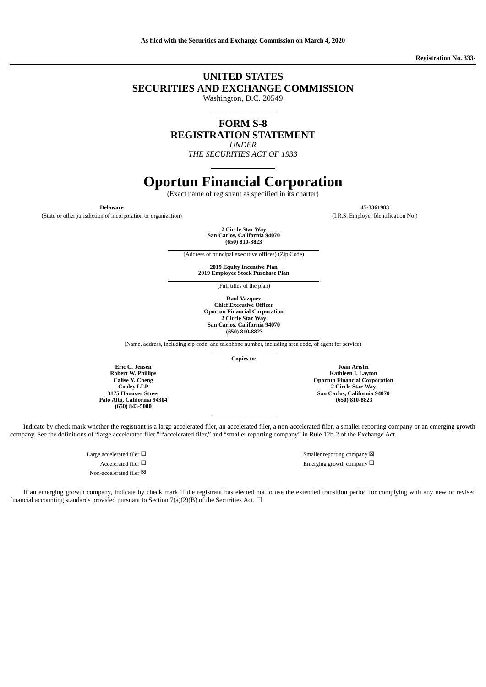**Registration No. 333-**

### **UNITED STATES SECURITIES AND EXCHANGE COMMISSION**

Washington, D.C. 20549

**FORM S-8 REGISTRATION STATEMENT**

*UNDER*

*THE SECURITIES ACT OF 1933*

### **Oportun Financial Corporation**

(Exact name of registrant as specified in its charter)

(State or other jurisdiction of incorporation or organization) (I.R.S. Employer Identification No.)

**2 Circle Star Way San Carlos, California 94070 (650) 810-8823**

(Address of principal executive offices) (Zip Code)

**2019 Equity Incentive Plan 2019 Employee Stock Purchase Plan**

(Full titles of the plan)

**Raul Vazquez Chief Executive Officer Oportun Financial Corporation 2 Circle Star Way San Carlos, California 94070 (650) 810-8823**

(Name, address, including zip code, and telephone number, including area code, of agent for service)

**Copies to:**

**Joan Aristei Kathleen I. Layton Oportun Financial Corporation 2 Circle Star Way San Carlos, California 94070 (650) 810-8823**

**Eric C. Jensen Robert W. Phillips Calise Y. Cheng Cooley LLP 3175 Hanover Street Palo Alto, California 94304 (650) 843-5000**

Indicate by check mark whether the registrant is a large accelerated filer, an accelerated filer, a non-accelerated filer, a smaller reporting company or an emerging growth company. See the definitions of "large accelerated filer," "accelerated filer," and "smaller reporting company" in Rule 12b-2 of the Exchange Act.

Non-accelerated filer  $\boxtimes$ 

Large accelerated filer  $\Box$   $\hfill$   $\Box$ Accelerated filer □ <br>Between the company □ Emerging growth company □

If an emerging growth company, indicate by check mark if the registrant has elected not to use the extended transition period for complying with any new or revised financial accounting standards provided pursuant to Section 7(a)(2)(B) of the Securities Act.  $\Box$ 

**Delaware 45-3361983**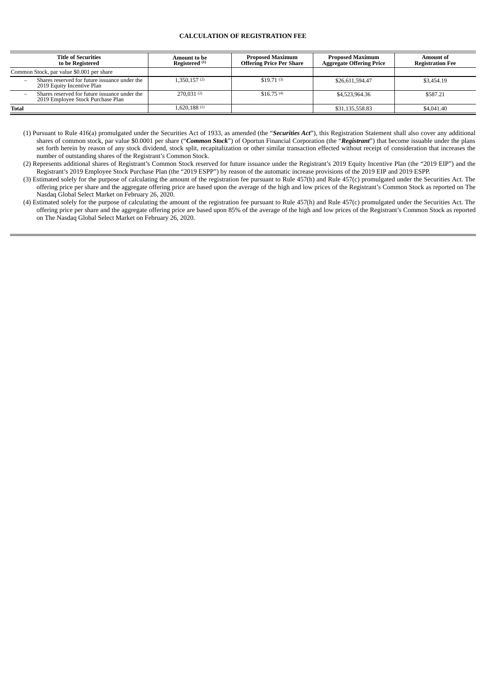#### **CALCULATION OF REGISTRATION FEE**

|                                           | <b>Title of Securities</b><br>to be Registered                                     | Amount to be<br>Registered <sup>(1)</sup> | <b>Proposed Maximum</b><br><b>Offering Price Per Share</b> | <b>Proposed Maximum</b><br><b>Aggregate Offering Price</b> | <b>Amount of</b><br><b>Registration Fee</b> |
|-------------------------------------------|------------------------------------------------------------------------------------|-------------------------------------------|------------------------------------------------------------|------------------------------------------------------------|---------------------------------------------|
| Common Stock, par value \$0.001 per share |                                                                                    |                                           |                                                            |                                                            |                                             |
| -                                         | Shares reserved for future issuance under the<br>2019 Equity Incentive Plan        | 1,350,157(2)                              | \$19.71(3)                                                 | \$26,611,594.47                                            | \$3,454.19                                  |
|                                           | Shares reserved for future issuance under the<br>2019 Employee Stock Purchase Plan | 270,031 $(2)$                             | \$16.75(4)                                                 | \$4,523,964.36                                             | \$587.21                                    |
| <b>Total</b>                              |                                                                                    | 1,620,188(2)                              |                                                            | \$31,135,558.83                                            | \$4,041.40                                  |

(1) Pursuant to Rule 416(a) promulgated under the Securities Act of 1933, as amended (the "*Securities Act*"), this Registration Statement shall also cover any additional shares of common stock, par value \$0.0001 per share ("*Common Stock*") of Oportun Financial Corporation (the "*Registrant*") that become issuable under the plans set forth herein by reason of any stock dividend, stock split, recapitalization or other similar transaction effected without receipt of consideration that increases the number of outstanding shares of the Registrant's Common Stock.

(2) Represents additional shares of Registrant's Common Stock reserved for future issuance under the Registrant's 2019 Equity Incentive Plan (the "2019 EIP") and the Registrant's 2019 Employee Stock Purchase Plan (the "2019 ESPP") by reason of the automatic increase provisions of the 2019 EIP and 2019 ESPP.

(3) Estimated solely for the purpose of calculating the amount of the registration fee pursuant to Rule 457(h) and Rule 457(c) promulgated under the Securities Act. The offering price per share and the aggregate offering price are based upon the average of the high and low prices of the Registrant's Common Stock as reported on The Nasdaq Global Select Market on February 26, 2020.

(4) Estimated solely for the purpose of calculating the amount of the registration fee pursuant to Rule 457(h) and Rule 457(c) promulgated under the Securities Act. The offering price per share and the aggregate offering price are based upon 85% of the average of the high and low prices of the Registrant's Common Stock as reported on The Nasdaq Global Select Market on February 26, 2020.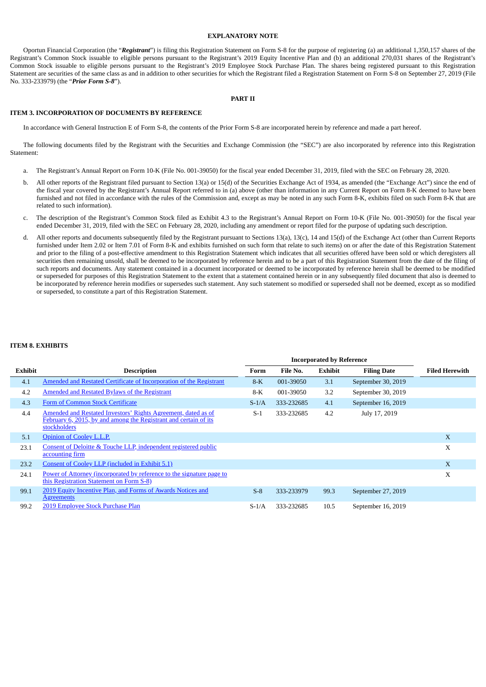#### **EXPLANATORY NOTE**

Oportun Financial Corporation (the "*Registrant*") is filing this Registration Statement on Form S-8 for the purpose of registering (a) an additional 1,350,157 shares of the Registrant's Common Stock issuable to eligible persons pursuant to the Registrant's 2019 Equity Incentive Plan and (b) an additional 270,031 shares of the Registrant's Common Stock issuable to eligible persons pursuant to the Registrant's 2019 Employee Stock Purchase Plan. The shares being registered pursuant to this Registration Statement are securities of the same class as and in addition to other securities for which the Registrant filed a Registration Statement on Form S-8 on September 27, 2019 (File No. 333-233979) (the "*Prior Form S-8*").

#### **PART II**

#### **ITEM 3. INCORPORATION OF DOCUMENTS BY REFERENCE**

In accordance with General Instruction E of Form S-8, the contents of the Prior Form S-8 are incorporated herein by reference and made a part hereof.

The following documents filed by the Registrant with the Securities and Exchange Commission (the "SEC") are also incorporated by reference into this Registration Statement:

- a. The Registrant's Annual Report on Form 10-K (File No. 001-39050) for the fiscal year ended December 31, 2019, filed with the SEC on February 28, 2020.
- b. All other reports of the Registrant filed pursuant to Section 13(a) or 15(d) of the Securities Exchange Act of 1934, as amended (the "Exchange Act") since the end of the fiscal year covered by the Registrant's Annual Report referred to in (a) above (other than information in any Current Report on Form 8-K deemed to have been furnished and not filed in accordance with the rules of the Commission and, except as may be noted in any such Form 8-K, exhibits filed on such Form 8-K that are related to such information).
- c. The description of the Registrant's Common Stock filed as Exhibit 4.3 to the Registrant's Annual Report on Form 10-K (File No. 001-39050) for the fiscal year ended December 31, 2019, filed with the SEC on February 28, 2020, including any amendment or report filed for the purpose of updating such description.
- d. All other reports and documents subsequently filed by the Registrant pursuant to Sections 13(a), 13(c), 14 and 15(d) of the Exchange Act (other than Current Reports furnished under Item 2.02 or Item 7.01 of Form 8-K and exhibits furnished on such form that relate to such items) on or after the date of this Registration Statement and prior to the filing of a post-effective amendment to this Registration Statement which indicates that all securities offered have been sold or which deregisters all securities then remaining unsold, shall be deemed to be incorporated by reference herein and to be a part of this Registration Statement from the date of the filing of such reports and documents. Any statement contained in a document incorporated or deemed to be incorporated by reference herein shall be deemed to be modified or superseded for purposes of this Registration Statement to the extent that a statement contained herein or in any subsequently filed document that also is deemed to be incorporated by reference herein modifies or supersedes such statement. Any such statement so modified or superseded shall not be deemed, except as so modified or superseded, to constitute a part of this Registration Statement.

#### **ITEM 8. EXHIBITS**

|                |                                                                                                                                                   | <b>Incorporated by Reference</b> |            |                |                    |                       |
|----------------|---------------------------------------------------------------------------------------------------------------------------------------------------|----------------------------------|------------|----------------|--------------------|-----------------------|
| <b>Exhibit</b> | <b>Description</b>                                                                                                                                | Form                             | File No.   | <b>Exhibit</b> | <b>Filing Date</b> | <b>Filed Herewith</b> |
| 4.1            | Amended and Restated Certificate of Incorporation of the Registrant                                                                               | $8-K$                            | 001-39050  | 3.1            | September 30, 2019 |                       |
| 4.2            | <b>Amended and Restated Bylaws of the Registrant</b>                                                                                              | $8-K$                            | 001-39050  | 3.2            | September 30, 2019 |                       |
| 4.3            | Form of Common Stock Certificate                                                                                                                  | $S-1/A$                          | 333-232685 | 4.1            | September 16, 2019 |                       |
| 4.4            | Amended and Restated Investors' Rights Agreement, dated as of<br>February 6, 2015, by and among the Registrant and certain of its<br>stockholders | $S-1$                            | 333-232685 | 4.2            | July 17, 2019      |                       |
| 5.1            | Opinion of Cooley L.L.P.                                                                                                                          |                                  |            |                |                    | X                     |
| 23.1           | Consent of Deloitte & Touche LLP, independent registered public<br>accounting firm                                                                |                                  |            |                |                    | X                     |
| 23.2           | Consent of Cooley LLP (included in Exhibit 5.1)                                                                                                   |                                  |            |                |                    | X                     |
| 24.1           | Power of Attorney (incorporated by reference to the signature page to<br>this Registration Statement on Form S-8)                                 |                                  |            |                |                    | X                     |
| 99.1           | 2019 Equity Incentive Plan, and Forms of Awards Notices and<br><u>Agreements</u>                                                                  | $S-8$                            | 333-233979 | 99.3           | September 27, 2019 |                       |
| 99.2           | 2019 Employee Stock Purchase Plan                                                                                                                 | $S-1/A$                          | 333-232685 | 10.5           | September 16, 2019 |                       |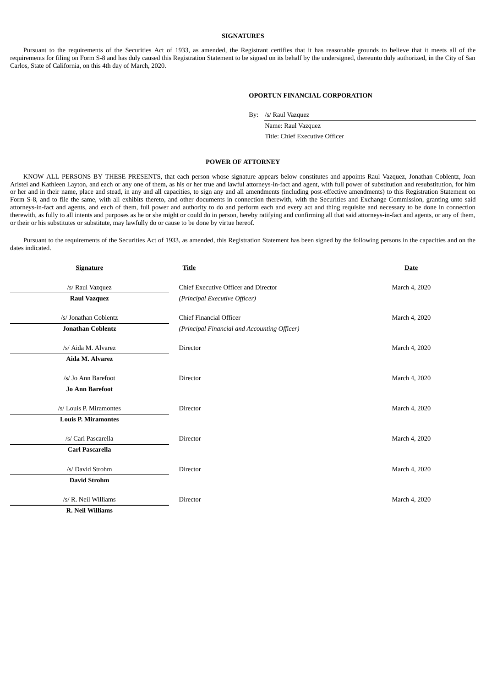#### **SIGNATURES**

Pursuant to the requirements of the Securities Act of 1933, as amended, the Registrant certifies that it has reasonable grounds to believe that it meets all of the requirements for filing on Form S-8 and has duly caused this Registration Statement to be signed on its behalf by the undersigned, thereunto duly authorized, in the City of San Carlos, State of California, on this 4th day of March, 2020.

#### **OPORTUN FINANCIAL CORPORATION**

By: /s/ Raul Vazquez

Name: Raul Vazquez Title: Chief Executive Officer

#### **POWER OF ATTORNEY**

KNOW ALL PERSONS BY THESE PRESENTS, that each person whose signature appears below constitutes and appoints Raul Vazquez, Jonathan Coblentz, Joan Aristei and Kathleen Layton, and each or any one of them, as his or her true and lawful attorneys-in-fact and agent, with full power of substitution and resubstitution, for him or her and in their name, place and stead, in any and all capacities, to sign any and all amendments (including post-effective amendments) to this Registration Statement on Form S-8, and to file the same, with all exhibits thereto, and other documents in connection therewith, with the Securities and Exchange Commission, granting unto said attorneys-in-fact and agents, and each of them, full power and authority to do and perform each and every act and thing requisite and necessary to be done in connection therewith, as fully to all intents and purposes as he or she might or could do in person, hereby ratifying and confirming all that said attorneys-in-fact and agents, or any of them, or their or his substitutes or substitute, may lawfully do or cause to be done by virtue hereof.

Pursuant to the requirements of the Securities Act of 1933, as amended, this Registration Statement has been signed by the following persons in the capacities and on the dates indicated.

| <b>Signature</b>           | <b>Title</b>                                 | <b>Date</b>   |  |
|----------------------------|----------------------------------------------|---------------|--|
| /s/ Raul Vazquez           | Chief Executive Officer and Director         | March 4, 2020 |  |
| <b>Raul Vazquez</b>        | (Principal Executive Officer)                |               |  |
| /s/ Jonathan Coblentz      | <b>Chief Financial Officer</b>               | March 4, 2020 |  |
| <b>Jonathan Coblentz</b>   | (Principal Financial and Accounting Officer) |               |  |
| /s/ Aida M. Alvarez        | Director                                     | March 4, 2020 |  |
| Aida M. Alvarez            |                                              |               |  |
| /s/ Jo Ann Barefoot        | Director                                     | March 4, 2020 |  |
| <b>Jo Ann Barefoot</b>     |                                              |               |  |
| /s/ Louis P. Miramontes    | Director                                     | March 4, 2020 |  |
| <b>Louis P. Miramontes</b> |                                              |               |  |
| /s/ Carl Pascarella        | Director                                     | March 4, 2020 |  |
| <b>Carl Pascarella</b>     |                                              |               |  |
| /s/ David Strohm           | Director                                     | March 4, 2020 |  |
| <b>David Strohm</b>        |                                              |               |  |
| /s/ R. Neil Williams       | Director                                     | March 4, 2020 |  |
| R. Neil Williams           |                                              |               |  |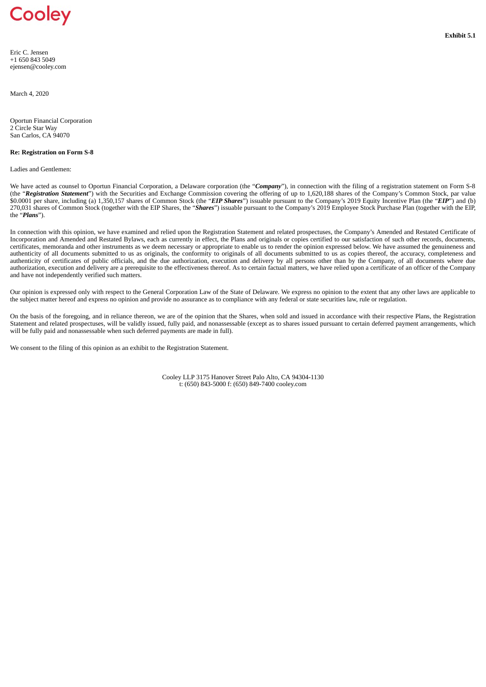## <span id="page-5-0"></span>Cooley

Eric C. Jensen +1 650 843 5049 ejensen@cooley.com

March 4, 2020

Oportun Financial Corporation 2 Circle Star Way San Carlos, CA 94070

#### **Re: Registration on Form S-8**

Ladies and Gentlemen:

We have acted as counsel to Oportun Financial Corporation, a Delaware corporation (the "*Company*"), in connection with the filing of a registration statement on Form S-8 (the "*Registration Statement*") with the Securities and Exchange Commission covering the offering of up to 1,620,188 shares of the Company's Common Stock, par value \$0.0001 per share, including (a) 1,350,157 shares of Common Stock (the "*EIP Shares*") issuable pursuant to the Company's 2019 Equity Incentive Plan (the "*EIP*") and (b) 270,031 shares of Common Stock (together with the EIP Shares, the "*Shares*") issuable pursuant to the Company's 2019 Employee Stock Purchase Plan (together with the EIP, the "*Plans*").

In connection with this opinion, we have examined and relied upon the Registration Statement and related prospectuses, the Company's Amended and Restated Certificate of Incorporation and Amended and Restated Bylaws, each as currently in effect, the Plans and originals or copies certified to our satisfaction of such other records, documents, certificates, memoranda and other instruments as we deem necessary or appropriate to enable us to render the opinion expressed below. We have assumed the genuineness and authenticity of all documents submitted to us as originals, the conformity to originals of all documents submitted to us as copies thereof, the accuracy, completeness and authenticity of certificates of public officials, and the due authorization, execution and delivery by all persons other than by the Company, of all documents where due authorization, execution and delivery are a prerequisite to the effectiveness thereof. As to certain factual matters, we have relied upon a certificate of an officer of the Company and have not independently verified such matters.

Our opinion is expressed only with respect to the General Corporation Law of the State of Delaware. We express no opinion to the extent that any other laws are applicable to the subject matter hereof and express no opinion and provide no assurance as to compliance with any federal or state securities law, rule or regulation.

On the basis of the foregoing, and in reliance thereon, we are of the opinion that the Shares, when sold and issued in accordance with their respective Plans, the Registration Statement and related prospectuses, will be validly issued, fully paid, and nonassessable (except as to shares issued pursuant to certain deferred payment arrangements, which will be fully paid and nonassessable when such deferred payments are made in full).

We consent to the filing of this opinion as an exhibit to the Registration Statement.

Cooley LLP 3175 Hanover Street Palo Alto, CA 94304-1130 t: (650) 843-5000 f: (650) 849-7400 cooley.com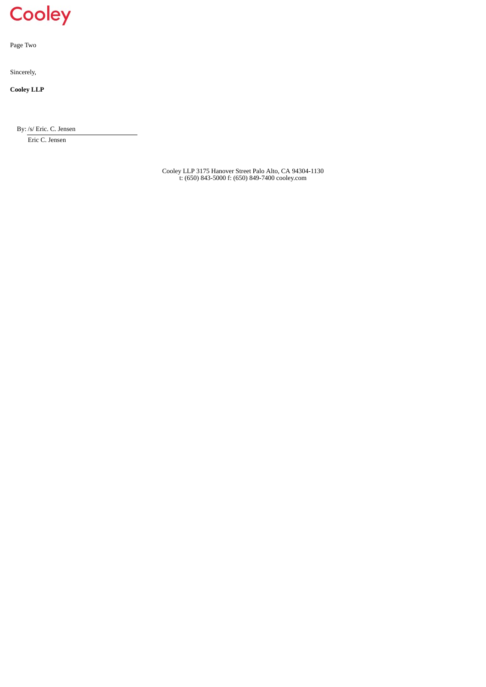# Cooley

Page Two

Sincerely,

**Cooley LLP**

By: /s/ Eric. C. Jensen

Eric C. Jensen

Cooley LLP 3175 Hanover Street Palo Alto, CA 94304-1130 t: (650) 843-5000 f: (650) 849-7400 cooley.com